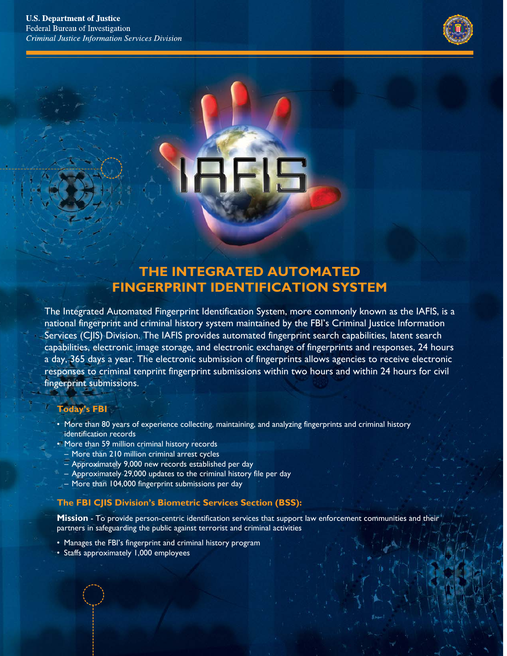

# **THE INTEGRATED AUTOMATED FINGERPRINT IDENTIFICATION SYSTEM**

The Integrated Automated Fingerprint Identification System, more commonly known as the IAFIS, is a national fingerprint and criminal history system maintained by the FBI's Criminal Justice Information Services (CJIS) Division. The IAFIS provides automated fingerprint search capabilities, latent search capabilities, electronic image storage, and electronic exchange of fingerprints and responses, 24 hours a day, 365 days a year. The electronic submission of fingerprints allows agencies to receive electronic responses to criminal tenprint fingerprint submissions within two hours and within 24 hours for civil fingerprint submissions.

#### **Today's FBI**

- More than 80 years of experience collecting, maintaining, and analyzing fingerprints and criminal history identification records
- More than 59 million criminal history records
	- More than 210 million criminal arrest cycles
	- Approximately 9,000 new records established per day
	- Approximately 29,000 updates to the criminal history file per day
- More than 104,000 fingerprint submissions per day

#### **The FBI CJIS Division's Biometric Services Section (BSS):**

**Mission** - To provide person-centric identification services that support law enforcement communities and their partners in safeguarding the public against terrorist and criminal activities

- Manages the FBI's fingerprint and criminal history program
- Staffs approximately 1,000 employees